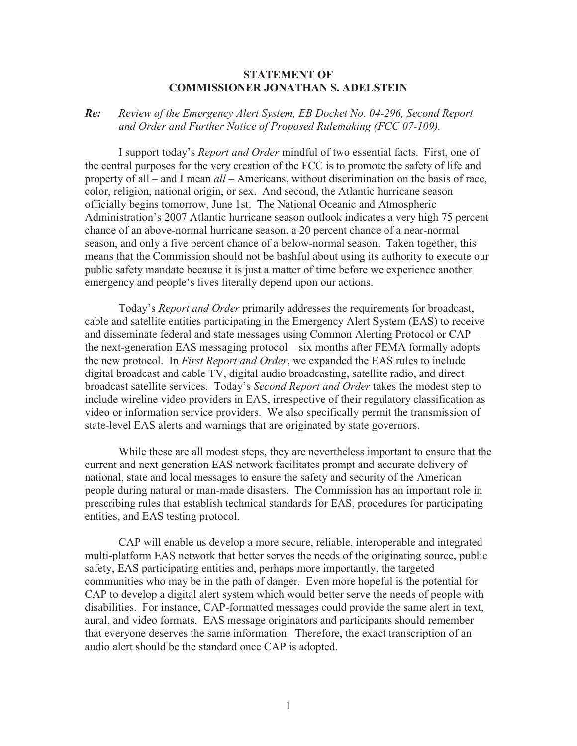## **STATEMENT OF COMMISSIONER JONATHAN S. ADELSTEIN**

## *Re: Review of the Emergency Alert System, EB Docket No. 04-296, Second Report and Order and Further Notice of Proposed Rulemaking (FCC 07-109).*

I support today's *Report and Order* mindful of two essential facts. First, one of the central purposes for the very creation of the FCC is to promote the safety of life and property of all – and I mean *all* – Americans, without discrimination on the basis of race, color, religion, national origin, or sex. And second, the Atlantic hurricane season officially begins tomorrow, June 1st. The National Oceanic and Atmospheric Administration's 2007 Atlantic hurricane season outlook indicates a very high 75 percent chance of an above-normal hurricane season, a 20 percent chance of a near-normal season, and only a five percent chance of a below-normal season. Taken together, this means that the Commission should not be bashful about using its authority to execute our public safety mandate because it is just a matter of time before we experience another emergency and people's lives literally depend upon our actions.

Today's *Report and Order* primarily addresses the requirements for broadcast, cable and satellite entities participating in the Emergency Alert System (EAS) to receive and disseminate federal and state messages using Common Alerting Protocol or CAP – the next-generation EAS messaging protocol – six months after FEMA formally adopts the new protocol. In *First Report and Order*, we expanded the EAS rules to include digital broadcast and cable TV, digital audio broadcasting, satellite radio, and direct broadcast satellite services. Today's *Second Report and Order* takes the modest step to include wireline video providers in EAS, irrespective of their regulatory classification as video or information service providers. We also specifically permit the transmission of state-level EAS alerts and warnings that are originated by state governors.

While these are all modest steps, they are nevertheless important to ensure that the current and next generation EAS network facilitates prompt and accurate delivery of national, state and local messages to ensure the safety and security of the American people during natural or man-made disasters. The Commission has an important role in prescribing rules that establish technical standards for EAS, procedures for participating entities, and EAS testing protocol.

CAP will enable us develop a more secure, reliable, interoperable and integrated multi-platform EAS network that better serves the needs of the originating source, public safety, EAS participating entities and, perhaps more importantly, the targeted communities who may be in the path of danger. Even more hopeful is the potential for CAP to develop a digital alert system which would better serve the needs of people with disabilities. For instance, CAP-formatted messages could provide the same alert in text, aural, and video formats. EAS message originators and participants should remember that everyone deserves the same information. Therefore, the exact transcription of an audio alert should be the standard once CAP is adopted.